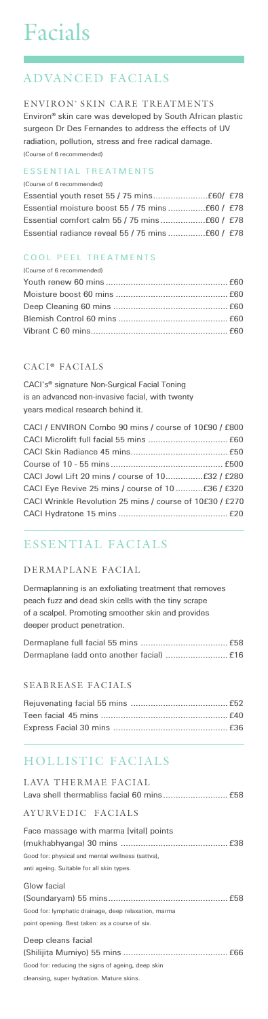# Facials

# ADVANCED FACIALS

#### ENVIRON® SKIN CARE TREATMENTS

**Environ® skin care was developed by South African plastic surgeon Dr Des Fernandes to address the effects of UV radiation, pollution, stress and free radical damage. (Course of 6 recommended)**

#### **ESSENTIAL TREATMENTS**

**(Course of 6 recommended)**

#### **COOL PEEL TREATMENTS**

| (Course of 6 recommended) |  |
|---------------------------|--|
|                           |  |
|                           |  |
|                           |  |
|                           |  |
|                           |  |
|                           |  |

#### CACI<sup>®</sup> FACIALS

**CACI's® signature Non-Surgical Facial Toning is an advanced non-invasive facial, with twenty years medical research behind it.**

| CACI / ENVIRON Combo 90 mins / course of 10£90 / £800    |  |
|----------------------------------------------------------|--|
|                                                          |  |
|                                                          |  |
|                                                          |  |
| CACI Jowl Lift 20 mins / course of 10 £32 / £280         |  |
|                                                          |  |
| CACI Wrinkle Revolution 25 mins / course of 10£30 / £270 |  |
|                                                          |  |

### ESSENTIAL FACIALS

#### DERMAPLANE FACIAL

**Dermaplanning is an exfoliating treatment that removes peach fuzz and dead skin cells with the tiny scrape of a scalpel. Promoting smoother skin and provides deeper product penetration.**

#### SEABREASE FACIALS

# HOLLISTIC FACIALS

| LAVA THERMAE FACIAL                                  |
|------------------------------------------------------|
| AYURVEDIC FACIALS                                    |
| Face massage with marma [vital] points               |
|                                                      |
| Good for: physical and mental wellness (sattva),     |
| anti ageing. Suitable for all skin types.            |
| Glow facial                                          |
|                                                      |
| Good for: lymphatic drainage, deep relaxation, marma |
| point opening. Best taken: as a course of six.       |
| Deep cleans facial                                   |
|                                                      |
| Good for: reducing the signs of ageing, deep skin    |
| cleansing, super hydration. Mature skins.            |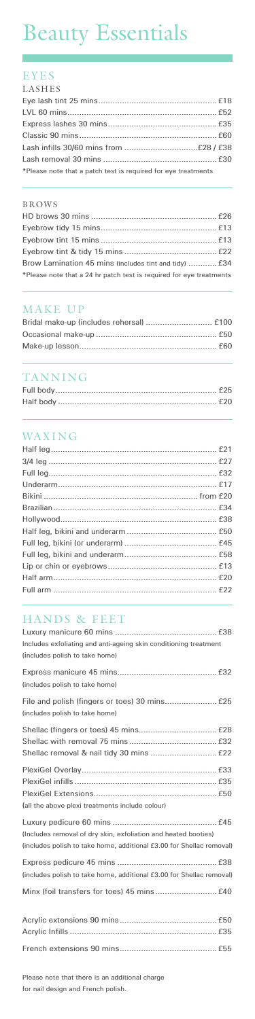# Beauty Essentials

#### EYES

| LASHES                                                        |  |
|---------------------------------------------------------------|--|
|                                                               |  |
|                                                               |  |
|                                                               |  |
|                                                               |  |
|                                                               |  |
|                                                               |  |
| *Please note that a patch test is required for eye treatments |  |

#### BROWS

| Brow Lamination 45 mins (includes tint and tidy)  £34               |  |
|---------------------------------------------------------------------|--|
| *Please note that a 24 hr patch test is required for eye treatments |  |

## MAKE UP

# TANNING

#### WAXING

### HANDS & FEET

| Includes exfoliating and anti-ageing skin conditioning treatment<br>(includes polish to take home)                                     |
|----------------------------------------------------------------------------------------------------------------------------------------|
| (includes polish to take home)                                                                                                         |
| (includes polish to take home)                                                                                                         |
|                                                                                                                                        |
| (all the above plexi treatments include colour)                                                                                        |
| (Includes removal of dry skin, exfoliation and heated booties)<br>(includes polish to take home, additional £3.00 for Shellac removal) |
| (includes polish to take home, additional £3.00 for Shellac removal)                                                                   |
|                                                                                                                                        |
|                                                                                                                                        |
|                                                                                                                                        |

**Please note that there is an additional charge for nail design and French polish.**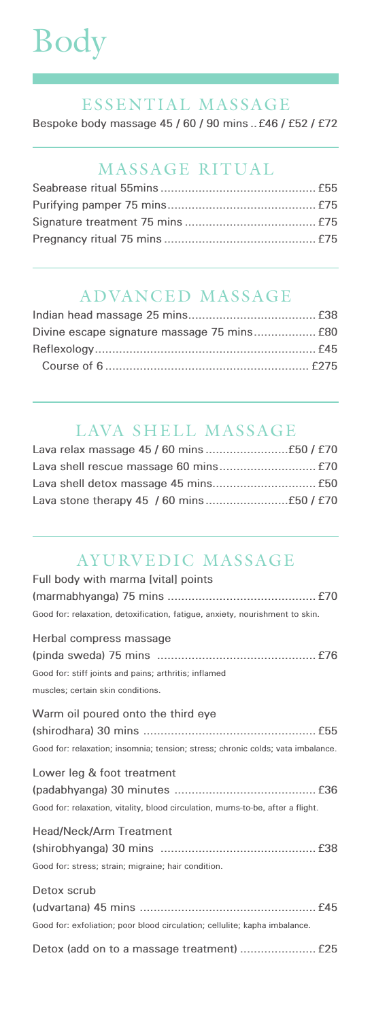# Body

#### ESSENTIAL MASSAGE

**Bespoke body massage 45 / 60 / 90 mins ..£46 / £52 / £72**

### MASSAGE RITUAL

#### ADVANCED MASSAGE

# LAVA SHELL MASSAGE

#### AYURVEDIC MASSAGE

| Full body with marma [vital] points                                             |
|---------------------------------------------------------------------------------|
|                                                                                 |
| Good for: relaxation, detoxification, fatigue, anxiety, nourishment to skin.    |
| Herbal compress massage                                                         |
|                                                                                 |
| Good for: stiff joints and pains; arthritis; inflamed                           |
| muscles; certain skin conditions.                                               |
| Warm oil poured onto the third eye                                              |
|                                                                                 |
| Good for: relaxation; insomnia; tension; stress; chronic colds; vata imbalance. |
|                                                                                 |

#### **Lower leg & foot treatment**

| Good for: relaxation, vitality, blood circulation, mums-to-be, after a flight. |
|--------------------------------------------------------------------------------|
| <b>Head/Neck/Arm Treatment</b>                                                 |
|                                                                                |
| Good for: stress; strain; migraine; hair condition.                            |
| Detox scrub                                                                    |
|                                                                                |
| Good for: exfoliation; poor blood circulation; cellulite; kapha imbalance.     |
|                                                                                |